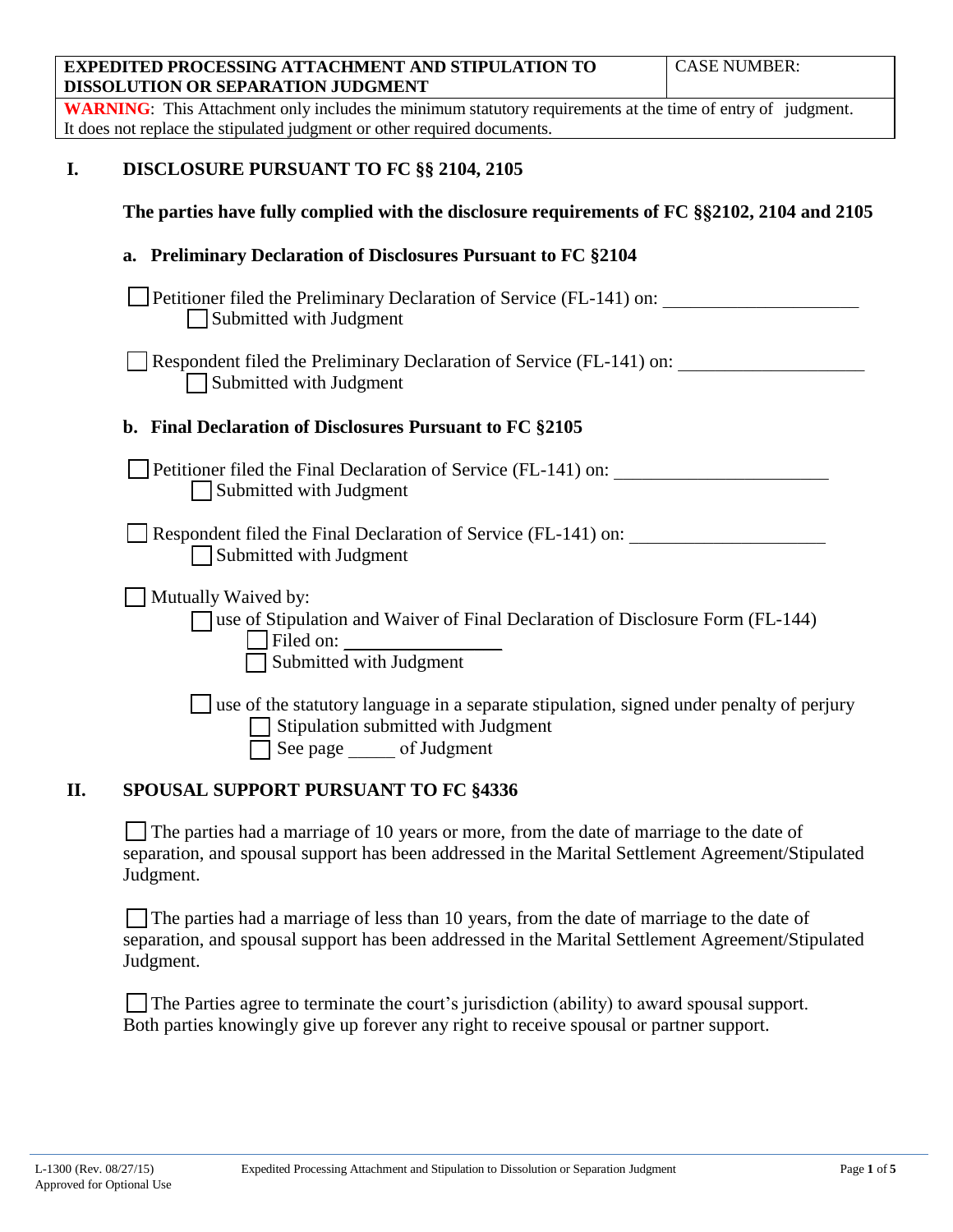| <b>EXPEDITED PROCESSING ATTACHMENT AND STIPULATION TO</b><br>DISSOLUTION OR SEPARATION JUDGMENT                                                                | <b>CASE NUMBER:</b> |
|----------------------------------------------------------------------------------------------------------------------------------------------------------------|---------------------|
| <b>WARNING</b> : This Attachment only includes the minimum statutory requirements at the time of entry of judgment.                                            |                     |
| It does not replace the stipulated judgment or other required documents.                                                                                       |                     |
| <b>DISCLOSURE PURSUANT TO FC §§ 2104, 2105</b><br>I.                                                                                                           |                     |
| The parties have fully complied with the disclosure requirements of FC §§2102, 2104 and 2105                                                                   |                     |
| <b>Preliminary Declaration of Disclosures Pursuant to FC §2104</b><br>a.                                                                                       |                     |
| Petitioner filed the Preliminary Declaration of Service (FL-141) on:<br>Submitted with Judgment                                                                |                     |
| Respondent filed the Preliminary Declaration of Service (FL-141) on:<br>Submitted with Judgment                                                                |                     |
| b. Final Declaration of Disclosures Pursuant to FC §2105                                                                                                       |                     |
| Petitioner filed the Final Declaration of Service (FL-141) on:<br>Submitted with Judgment                                                                      |                     |
| Respondent filed the Final Declaration of Service (FL-141) on:<br>Submitted with Judgment                                                                      |                     |
| Mutually Waived by:<br>□ use of Stipulation and Waiver of Final Declaration of Disclosure Form (FL-144)<br>Filed on:<br>Submitted with Judgment                |                     |
| $\Box$ use of the statutory language in a separate stipulation, signed under penalty of perjury<br>Stipulation submitted with Judgment<br>See page of Judgment |                     |
| <b>SPOUSAL SUPPORT PURSUANT TO FC §4336</b><br>II.                                                                                                             |                     |

The parties had a marriage of 10 years or more, from the date of marriage to the date of separation, and spousal support has been addressed in the Marital Settlement Agreement/Stipulated Judgment.

The parties had a marriage of less than 10 years, from the date of marriage to the date of separation, and spousal support has been addressed in the Marital Settlement Agreement/Stipulated Judgment.

The Parties agree to terminate the court's jurisdiction (ability) to award spousal support. Both parties knowingly give up forever any right to receive spousal or partner support.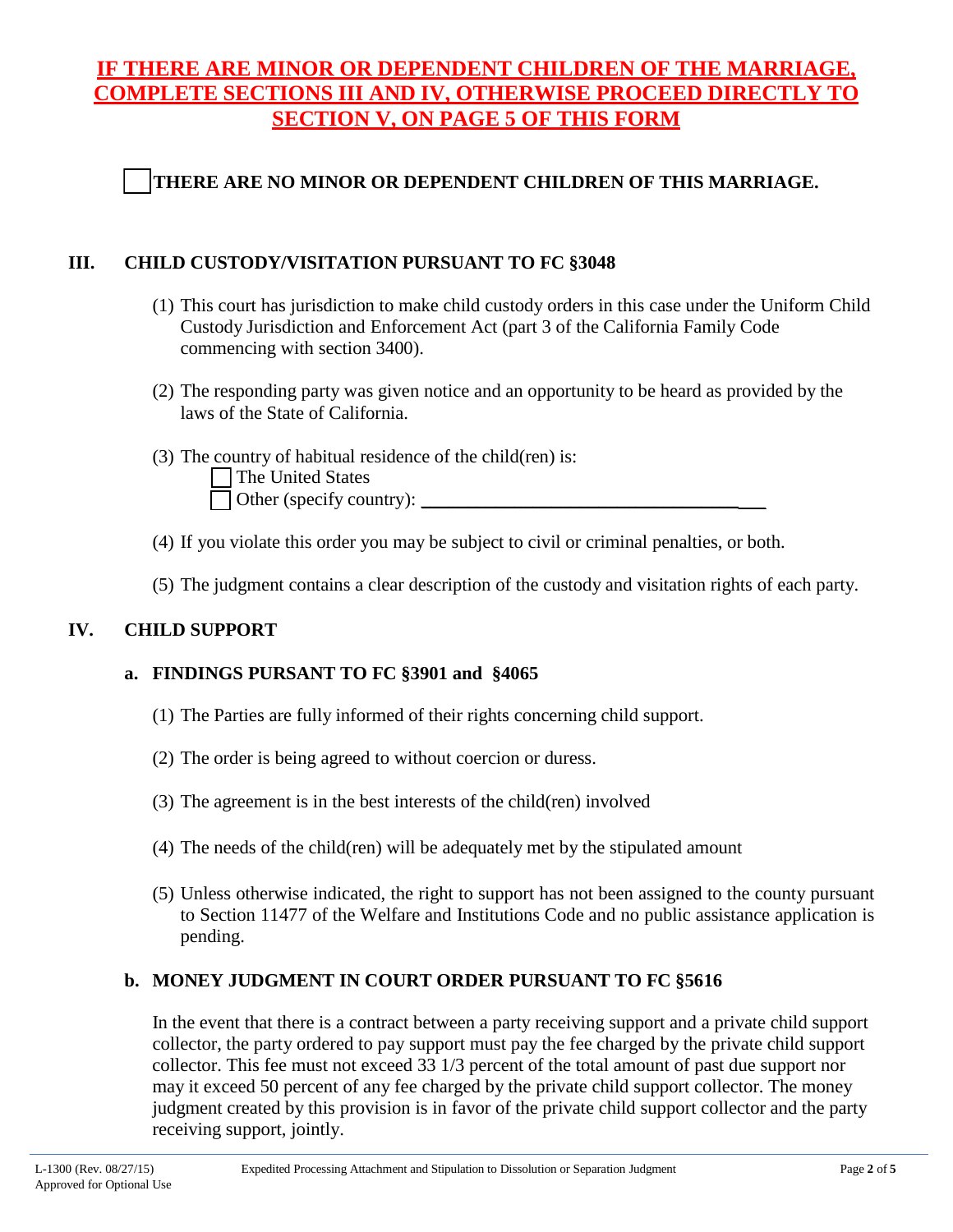# **IF THERE ARE MINOR OR DEPENDENT CHILDREN OF THE MARRIAGE, COMPLETE SECTIONS III AND IV, OTHERWISE PROCEED DIRECTLY TO SECTION V, ON PAGE 5 OF THIS FORM**

# **THERE ARE NO MINOR OR DEPENDENT CHILDREN OF THIS MARRIAGE.**

## **III. CHILD CUSTODY/VISITATION PURSUANT TO FC §3048**

- (1) This court has jurisdiction to make child custody orders in this case under the Uniform Child Custody Jurisdiction and Enforcement Act (part 3 of the California Family Code commencing with section 3400).
- (2) The responding party was given notice and an opportunity to be heard as provided by the laws of the State of California.
- (3) The country of habitual residence of the child(ren) is: The United States Other (specify country):
- (4) If you violate this order you may be subject to civil or criminal penalties, or both.
- (5) The judgment contains a clear description of the custody and visitation rights of each party.

# **IV. CHILD SUPPORT**

# **a. FINDINGS PURSANT TO FC §3901 and §4065**

- (1) The Parties are fully informed of their rights concerning child support.
- (2) The order is being agreed to without coercion or duress.
- (3) The agreement is in the best interests of the child(ren) involved
- (4) The needs of the child(ren) will be adequately met by the stipulated amount
- (5) Unless otherwise indicated, the right to support has not been assigned to the county pursuant to Section 11477 of the Welfare and Institutions Code and no public assistance application is pending.

# **b. MONEY JUDGMENT IN COURT ORDER PURSUANT TO FC §5616**

In the event that there is a contract between a party receiving support and a private child support collector, the party ordered to pay support must pay the fee charged by the private child support collector. This fee must not exceed 33 1/3 percent of the total amount of past due support nor may it exceed 50 percent of any fee charged by the private child support collector. The money judgment created by this provision is in favor of the private child support collector and the party receiving support, jointly.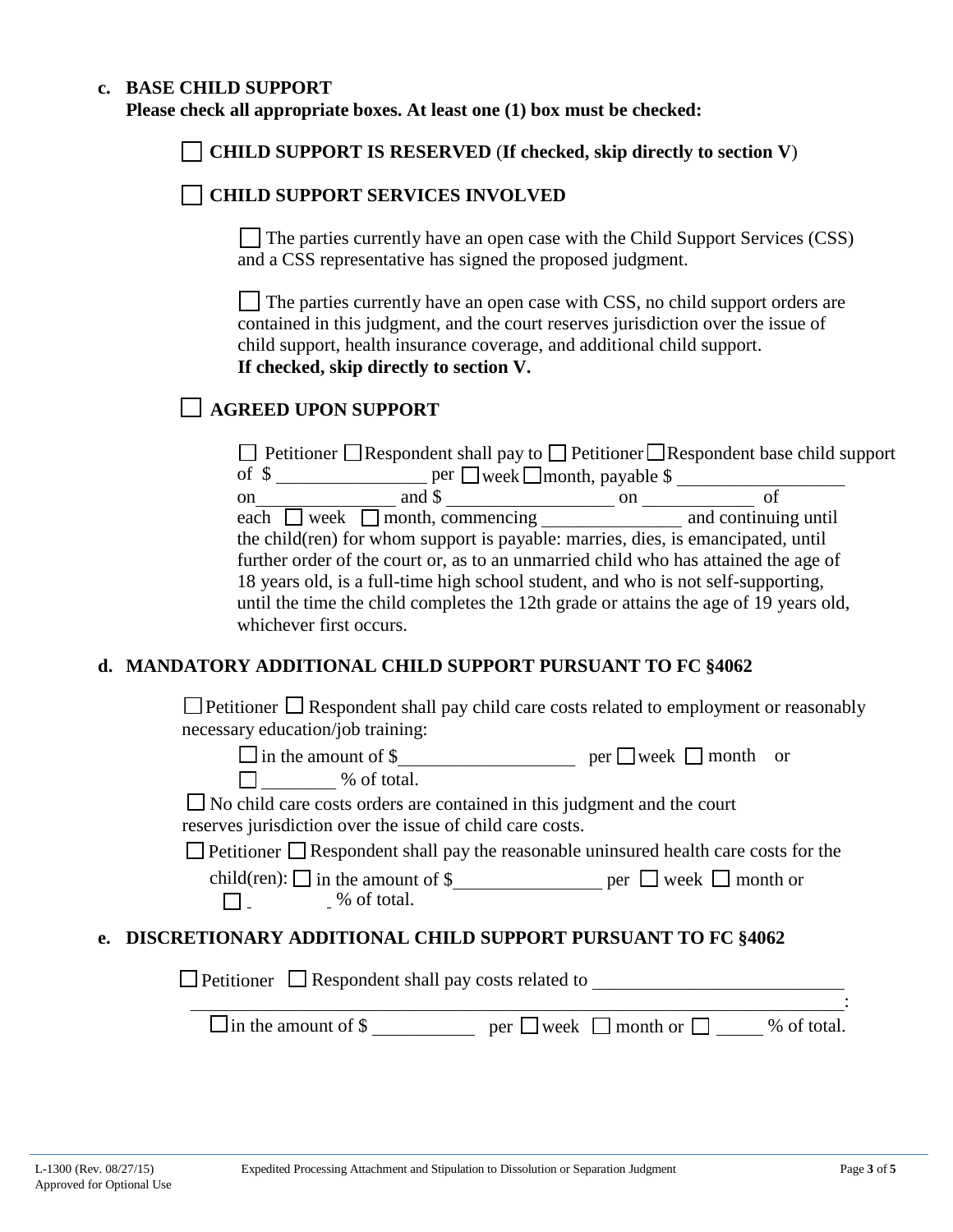#### **c. BASE CHILD SUPPORT**

**Please check all appropriate boxes. At least one (1) box must be checked:**

**CHILD SUPPORT IS RESERVED** (**If checked, skip directly to section V**)

### **CHILD SUPPORT SERVICES INVOLVED**

 $\Box$  The parties currently have an open case with the Child Support Services (CSS) and a CSS representative has signed the proposed judgment.

The parties currently have an open case with CSS, no child support orders are contained in this judgment, and the court reserves jurisdiction over the issue of child support, health insurance coverage, and additional child support. **If checked, skip directly to section V.** 

# **AGREED UPON SUPPORT**

| $\Box$ Petitioner $\Box$ Respondent shall pay to $\Box$ Petitioner $\Box$ Respondent base child support |               |                      |  |  |
|---------------------------------------------------------------------------------------------------------|---------------|----------------------|--|--|
| of $\sqrt{ }$<br>$per \n \Box$ week $\Box$ month, payable \$                                            |               |                      |  |  |
| and \$<br><sub>on</sub>                                                                                 | <sub>on</sub> | οt                   |  |  |
| each $\Box$ week $\Box$ month, commencing                                                               |               | and continuing until |  |  |
| the child (ren) for whom support is payable: marries, dies, is emancipated, until                       |               |                      |  |  |
| further order of the court or, as to an unmarried child who has attained the age of                     |               |                      |  |  |
| 18 years old, is a full-time high school student, and who is not self-supporting,                       |               |                      |  |  |
| until the time the child completes the 12th grade or attains the age of 19 years old,                   |               |                      |  |  |
| whichever first occurs.                                                                                 |               |                      |  |  |
|                                                                                                         |               |                      |  |  |

#### **d. MANDATORY ADDITIONAL CHILD SUPPORT PURSUANT TO FC §4062**

|  |                                   |  | $\Box$ Petitioner $\Box$ Respondent shall pay child care costs related to employment or reasonably |
|--|-----------------------------------|--|----------------------------------------------------------------------------------------------------|
|  | necessary education/job training: |  |                                                                                                    |

in the amount of  $\frac{1}{2}$  month or

 $\Box$   $\Box$  % of total.

No child care costs orders are contained in this judgment and the court reserves jurisdiction over the issue of child care costs.

 $\Box$  Petitioner  $\Box$  Respondent shall pay the reasonable uninsured health care costs for the

| child(ren): $\Box$ in the amount of \$ | $per$ week $\Box$ month or |
|----------------------------------------|----------------------------|
| % of total.                            |                            |

### **e. DISCRETIONARY ADDITIONAL CHILD SUPPORT PURSUANT TO FC §4062**

 $\Box$  Petitioner  $\Box$  Respondent shall pay costs related to \_\_\_\_\_\_\_\_\_\_\_\_\_\_\_\_\_\_\_\_\_\_\_\_\_\_\_\_\_\_\_\_\_\_\_\_\_\_\_\_\_\_\_\_\_\_\_\_\_\_\_\_\_\_\_\_\_\_\_\_\_\_\_\_\_\_\_\_\_\_: in the amount of  $\$\underline{\hspace{2cm}}$  per  $\Box$  week  $\Box$  month or  $\Box$   $\Box$  % of total.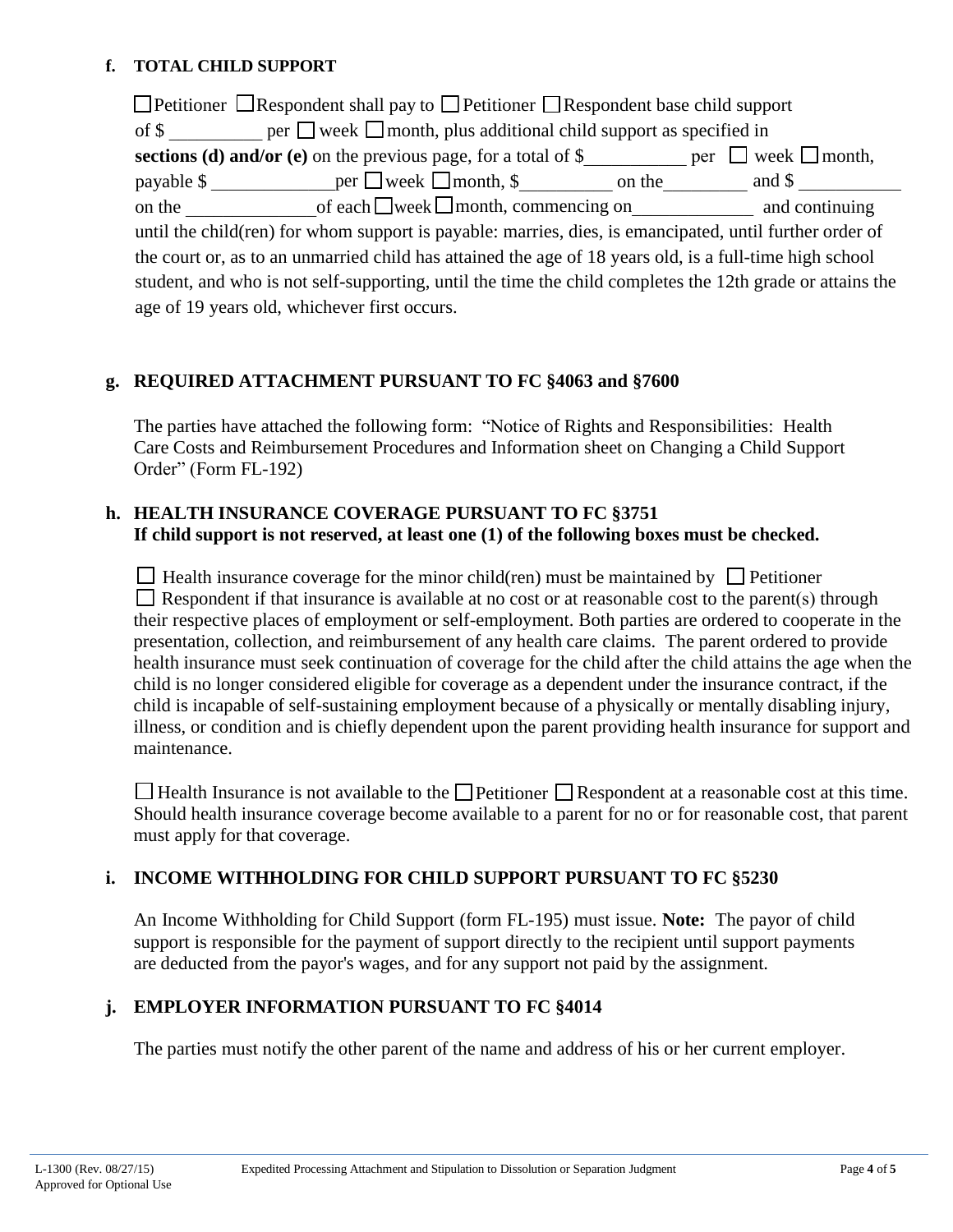### **f. TOTAL CHILD SUPPORT**

 $\Box$  Petitioner  $\Box$  Respondent shall pay to  $\Box$  Petitioner  $\Box$  Respondent base child support of  $\$\$  per  $\Box$  week  $\Box$  month, plus additional child support as specified in **sections (d) and/or (e)** on the previous page, for a total of  $\frac{8}{2}$  per  $\Box$  week  $\Box$  month, payable  $\frac{1}{2}$  per  $\Box$  week  $\Box$  month,  $\frac{1}{2}$  on the and  $\frac{1}{2}$  and  $\frac{1}{2}$ on the  $\bigcirc$  of each  $\bigcirc$  week  $\bigcirc$  month, commencing on  $\bigcirc$  and continuing until the child(ren) for whom support is payable: marries, dies, is emancipated, until further order of the court or, as to an unmarried child has attained the age of 18 years old, is a full-time high school student, and who is not self-supporting, until the time the child completes the 12th grade or attains the age of 19 years old, whichever first occurs.

## **g. REQUIRED ATTACHMENT PURSUANT TO FC §4063 and §7600**

The parties have attached the following form: "Notice of Rights and Responsibilities: Health Care Costs and Reimbursement Procedures and Information sheet on Changing a Child Support Order" (Form FL-192)

### **h. HEALTH INSURANCE COVERAGE PURSUANT TO FC §3751 If child support is not reserved, at least one (1) of the following boxes must be checked.**

 $\Box$  Health insurance coverage for the minor child(ren) must be maintained by  $\Box$  Petitioner  $\Box$  Respondent if that insurance is available at no cost or at reasonable cost to the parent(s) through their respective places of employment or self-employment. Both parties are ordered to cooperate in the presentation, collection, and reimbursement of any health care claims. The parent ordered to provide health insurance must seek continuation of coverage for the child after the child attains the age when the child is no longer considered eligible for coverage as a dependent under the insurance contract, if the child is incapable of self-sustaining employment because of a physically or mentally disabling injury, illness, or condition and is chiefly dependent upon the parent providing health insurance for support and maintenance.

 $\Box$  Health Insurance is not available to the  $\Box$  Petitioner  $\Box$  Respondent at a reasonable cost at this time. Should health insurance coverage become available to a parent for no or for reasonable cost, that parent must apply for that coverage.

### **i. INCOME WITHHOLDING FOR CHILD SUPPORT PURSUANT TO FC §5230**

An Income Withholding for Child Support (form FL-195) must issue. **Note:** The payor of child support is responsible for the payment of support directly to the recipient until support payments are deducted from the payor's wages, and for any support not paid by the assignment.

### **j. EMPLOYER INFORMATION PURSUANT TO FC §4014**

The parties must notify the other parent of the name and address of his or her current employer.